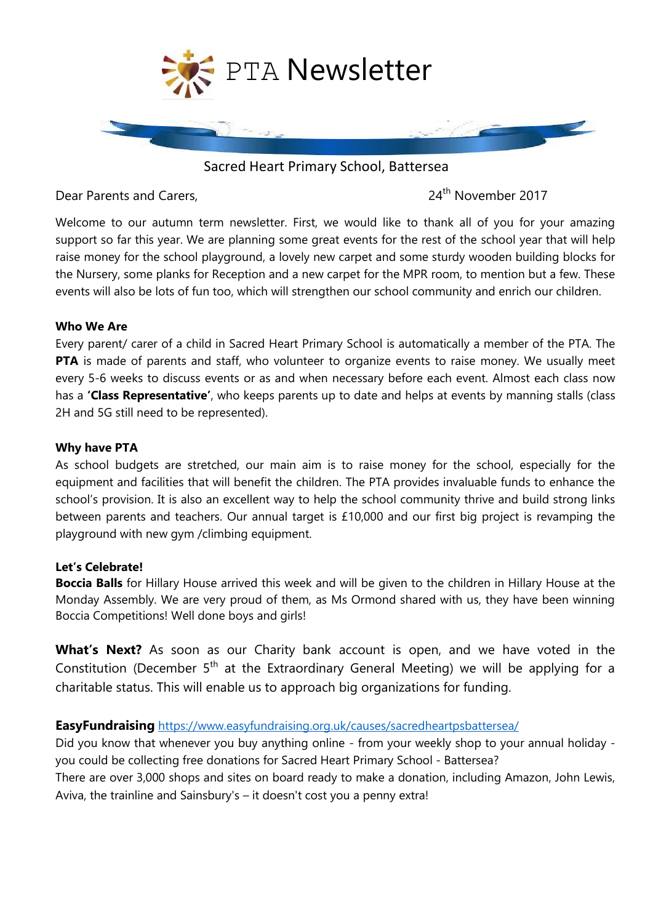

Sacred Heart Primary School, Battersea

Dear Parents and Carers, 24<sup>th</sup> November 2017

Welcome to our autumn term newsletter. First, we would like to thank all of you for your amazing support so far this year. We are planning some great events for the rest of the school year that will help raise money for the school playground, a lovely new carpet and some sturdy wooden building blocks for the Nursery, some planks for Reception and a new carpet for the MPR room, to mention but a few. These events will also be lots of fun too, which will strengthen our school community and enrich our children.

#### **Who We Are**

Every parent/ carer of a child in Sacred Heart Primary School is automatically a member of the PTA. The **PTA** is made of parents and staff, who volunteer to organize events to raise money. We usually meet every 5-6 weeks to discuss events or as and when necessary before each event. Almost each class now has a **'Class Representative'**, who keeps parents up to date and helps at events by manning stalls (class 2H and 5G still need to be represented).

### **Why have PTA**

As school budgets are stretched, our main aim is to raise money for the school, especially for the equipment and facilities that will benefit the children. The PTA provides invaluable funds to enhance the school's provision. It is also an excellent way to help the school community thrive and build strong links between parents and teachers. Our annual target is £10,000 and our first big project is revamping the playground with new gym /climbing equipment.

# **Let's Celebrate!**

**Boccia Balls** for Hillary House arrived this week and will be given to the children in Hillary House at the Monday Assembly. We are very proud of them, as Ms Ormond shared with us, they have been winning Boccia Competitions! Well done boys and girls!

**What's Next?** As soon as our Charity bank account is open, and we have voted in the Constitution (December  $5<sup>th</sup>$  at the Extraordinary General Meeting) we will be applying for a charitable status. This will enable us to approach big organizations for funding.

# **EasyFundraising** <https://www.easyfundraising.org.uk/causes/sacredheartpsbattersea/>

Did you know that whenever you buy anything online - from your weekly shop to your annual holiday you could be collecting free donations for Sacred Heart Primary School - Battersea? There are over 3,000 shops and sites on board ready to make a donation, including Amazon, John Lewis, Aviva, the trainline and Sainsbury's – it doesn't cost you a penny extra!